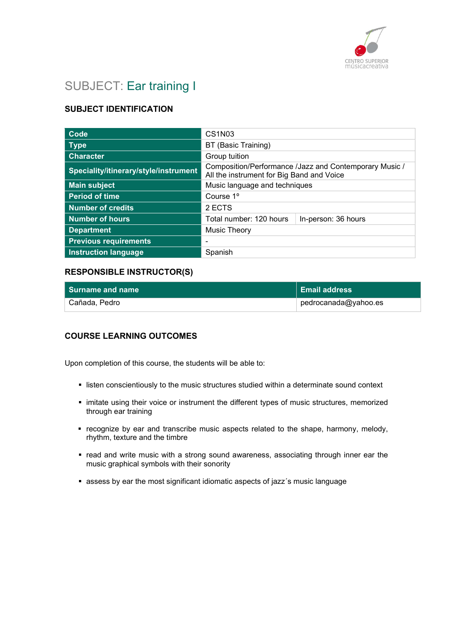

# SUBJECT: Ear training I

# SUBJECT IDENTIFICATION

| Code                                  | CS1N03                                                                                              |  |
|---------------------------------------|-----------------------------------------------------------------------------------------------------|--|
| <b>Type</b>                           | BT (Basic Training)                                                                                 |  |
| <b>Character</b>                      | Group tuition                                                                                       |  |
| Speciality/itinerary/style/instrument | Composition/Performance /Jazz and Contemporary Music /<br>All the instrument for Big Band and Voice |  |
| <b>Main subject</b>                   | Music language and techniques                                                                       |  |
| <b>Period of time</b>                 | Course 1 <sup>o</sup>                                                                               |  |
| Number of credits                     | 2 ECTS                                                                                              |  |
| <b>Number of hours</b>                | Total number: 120 hours<br>In-person: 36 hours                                                      |  |
| <b>Department</b>                     | <b>Music Theory</b>                                                                                 |  |
| <b>Previous requirements</b>          | ٠                                                                                                   |  |
| <b>Instruction language</b>           | Spanish                                                                                             |  |

### RESPONSIBLE INSTRUCTOR(S)

| l Surname and name | Email address        |
|--------------------|----------------------|
| Cañada. Pedro      | pedrocanada@yahoo.es |

#### COURSE LEARNING OUTCOMES

Upon completion of this course, the students will be able to:

- **Indem** listen conscientiously to the music structures studied within a determinate sound context
- **· imitate using their voice or instrument the different types of music structures, memorized** through ear training
- recognize by ear and transcribe music aspects related to the shape, harmony, melody, rhythm, texture and the timbre
- read and write music with a strong sound awareness, associating through inner ear the music graphical symbols with their sonority
- assess by ear the most significant idiomatic aspects of jazz´s music language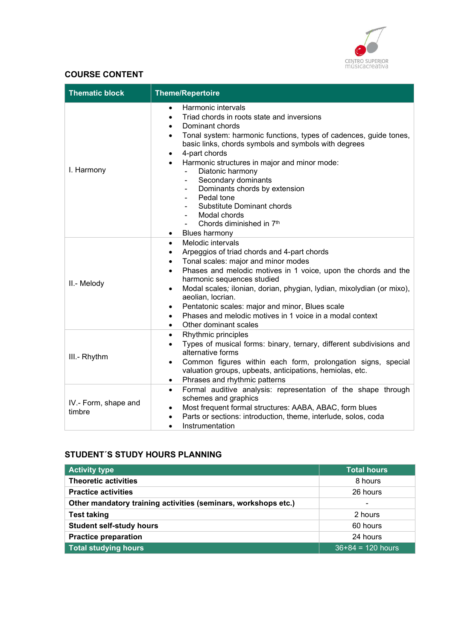

# COURSE CONTENT

| <b>Thematic block</b>          | <b>Theme/Repertoire</b>                                                                                                                                                                                                                                                                                                                                                                                                                                                                                                    |
|--------------------------------|----------------------------------------------------------------------------------------------------------------------------------------------------------------------------------------------------------------------------------------------------------------------------------------------------------------------------------------------------------------------------------------------------------------------------------------------------------------------------------------------------------------------------|
| I. Harmony                     | Harmonic intervals<br>$\bullet$<br>Triad chords in roots state and inversions<br>Dominant chords<br>Tonal system: harmonic functions, types of cadences, guide tones,<br>basic links, chords symbols and symbols with degrees<br>4-part chords<br>Harmonic structures in major and minor mode:<br>Diatonic harmony<br>Secondary dominants<br>Dominants chords by extension<br>Pedal tone<br><b>Substitute Dominant chords</b><br>Modal chords<br>Chords diminished in 7 <sup>th</sup><br><b>Blues harmony</b><br>$\bullet$ |
| II.- Melody                    | Melodic intervals<br>$\bullet$<br>Arpeggios of triad chords and 4-part chords<br>Tonal scales: major and minor modes<br>$\bullet$<br>Phases and melodic motives in 1 voice, upon the chords and the<br>$\bullet$<br>harmonic sequences studied<br>Modal scales; ilonian, dorian, phygian, lydian, mixolydian (or mixo),<br>$\bullet$<br>aeolian, locrian.<br>Pentatonic scales: major and minor, Blues scale<br>٠<br>Phases and melodic motives in 1 voice in a modal context<br>Other dominant scales<br>$\bullet$        |
| III.- Rhythm                   | Rhythmic principles<br>٠<br>Types of musical forms: binary, ternary, different subdivisions and<br>$\bullet$<br>alternative forms<br>Common figures within each form, prolongation signs, special<br>$\bullet$<br>valuation groups, upbeats, anticipations, hemiolas, etc.<br>Phrases and rhythmic patterns<br>$\bullet$                                                                                                                                                                                                   |
| IV.- Form, shape and<br>timbre | Formal auditive analysis: representation of the shape through<br>$\bullet$<br>schemes and graphics<br>Most frequent formal structures: AABA, ABAC, form blues<br>Parts or sections: introduction, theme, interlude, solos, coda<br>٠<br>Instrumentation<br>$\bullet$                                                                                                                                                                                                                                                       |

# STUDENT´S STUDY HOURS PLANNING

| <b>Activity type</b>                                           | <b>Total hours</b>  |
|----------------------------------------------------------------|---------------------|
| <b>Theoretic activities</b>                                    | 8 hours             |
| <b>Practice activities</b>                                     | 26 hours            |
| Other mandatory training activities (seminars, workshops etc.) | ۰                   |
| <b>Test taking</b>                                             | 2 hours             |
| <b>Student self-study hours</b>                                | 60 hours            |
| <b>Practice preparation</b>                                    | 24 hours            |
| <b>Total studying hours</b>                                    | $36+84 = 120$ hours |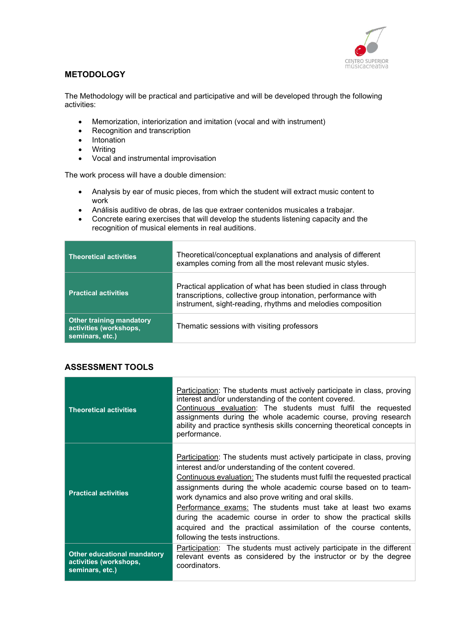

## **METODOLOGY**

The Methodology will be practical and participative and will be developed through the following activities:

- Memorization, interiorization and imitation (vocal and with instrument)
- Recognition and transcription
- Intonation
- Writing
- Vocal and instrumental improvisation

The work process will have a double dimension:

- Analysis by ear of music pieces, from which the student will extract music content to work
- Análisis auditivo de obras, de las que extraer contenidos musicales a trabajar.
- Concrete earing exercises that will develop the students listening capacity and the recognition of musical elements in real auditions.

| <b>Theoretical activities</b>                                                | Theoretical/conceptual explanations and analysis of different<br>examples coming from all the most relevant music styles.                                                                       |
|------------------------------------------------------------------------------|-------------------------------------------------------------------------------------------------------------------------------------------------------------------------------------------------|
| <b>Practical activities</b>                                                  | Practical application of what has been studied in class through<br>transcriptions, collective group intonation, performance with<br>instrument, sight-reading, rhythms and melodies composition |
| <b>Other training mandatory</b><br>activities (workshops,<br>seminars, etc.) | Thematic sessions with visiting professors                                                                                                                                                      |

#### ASSESSMENT TOOLS

| <b>Theoretical activities</b>                                                   | Participation: The students must actively participate in class, proving<br>interest and/or understanding of the content covered.<br>Continuous evaluation: The students must fulfil the requested<br>assignments during the whole academic course, proving research<br>ability and practice synthesis skills concerning theoretical concepts in<br>performance.                                                                                                                                                                                                                           |
|---------------------------------------------------------------------------------|-------------------------------------------------------------------------------------------------------------------------------------------------------------------------------------------------------------------------------------------------------------------------------------------------------------------------------------------------------------------------------------------------------------------------------------------------------------------------------------------------------------------------------------------------------------------------------------------|
| <b>Practical activities</b>                                                     | <b>Participation:</b> The students must actively participate in class, proving<br>interest and/or understanding of the content covered.<br>Continuous evaluation: The students must fulfil the requested practical<br>assignments during the whole academic course based on to team-<br>work dynamics and also prove writing and oral skills.<br>Performance exams: The students must take at least two exams<br>during the academic course in order to show the practical skills<br>acquired and the practical assimilation of the course contents,<br>following the tests instructions. |
| <b>Other educational mandatory</b><br>activities (workshops,<br>seminars, etc.) | Participation: The students must actively participate in the different<br>relevant events as considered by the instructor or by the degree<br>coordinators.                                                                                                                                                                                                                                                                                                                                                                                                                               |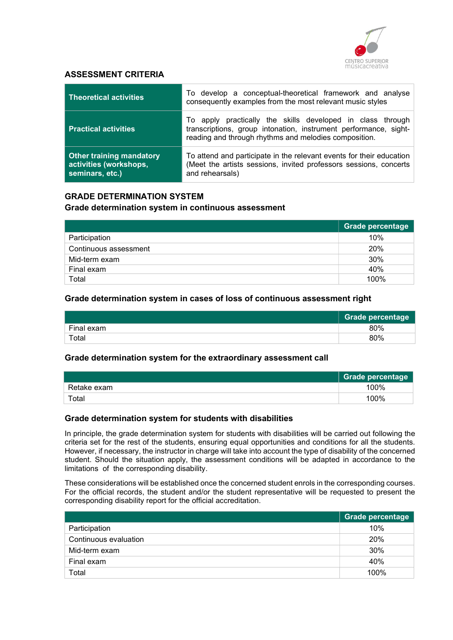

#### ASSESSMENT CRITERIA

| <b>Theoretical activities</b>                                                | To develop a conceptual-theoretical framework and analyse<br>consequently examples from the most relevant music styles                                                                  |
|------------------------------------------------------------------------------|-----------------------------------------------------------------------------------------------------------------------------------------------------------------------------------------|
| <b>Practical activities</b>                                                  | To apply practically the skills developed in class through<br>transcriptions, group intonation, instrument performance, sight-<br>reading and through rhythms and melodies composition. |
| <b>Other training mandatory</b><br>activities (workshops,<br>seminars, etc.) | To attend and participate in the relevant events for their education<br>(Meet the artists sessions, invited professors sessions, concerts<br>and rehearsals)                            |

## GRADE DETERMINATION SYSTEM

#### Grade determination system in continuous assessment

|                       | Grade percentage |
|-----------------------|------------------|
| Participation         | 10%              |
| Continuous assessment | 20%              |
| Mid-term exam         | 30%              |
| Final exam            | 40%              |
| Total                 | 100%             |

#### Grade determination system in cases of loss of continuous assessment right

|            | <b>Grade percentage</b> |
|------------|-------------------------|
| Final exam | 80%                     |
| Total      | 80%                     |

#### Grade determination system for the extraordinary assessment call

|             | <b>Grade percentage</b> |
|-------------|-------------------------|
| Retake exam | 100%                    |
| Total       | 100%                    |

#### Grade determination system for students with disabilities

In principle, the grade determination system for students with disabilities will be carried out following the criteria set for the rest of the students, ensuring equal opportunities and conditions for all the students. However, if necessary, the instructor in charge will take into account the type of disability of the concerned student. Should the situation apply, the assessment conditions will be adapted in accordance to the limitations of the corresponding disability.

These considerations will be established once the concerned student enrols in the corresponding courses. For the official records, the student and/or the student representative will be requested to present the corresponding disability report for the official accreditation.

|                       | <b>Grade percentage</b> |
|-----------------------|-------------------------|
| Participation         | 10%                     |
| Continuous evaluation | 20%                     |
| Mid-term exam         | 30%                     |
| Final exam            | 40%                     |
| Total                 | 100%                    |